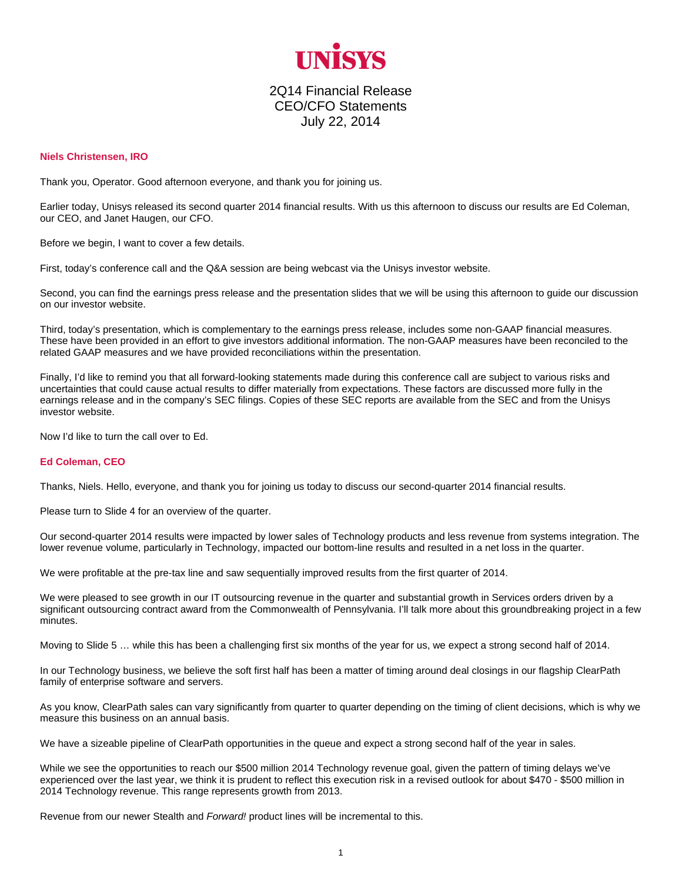

## 2Q14 Financial Release CEO/CFO Statements July 22, 2014

## **Niels Christensen, IRO**

Thank you, Operator. Good afternoon everyone, and thank you for joining us.

Earlier today, Unisys released its second quarter 2014 financial results. With us this afternoon to discuss our results are Ed Coleman, our CEO, and Janet Haugen, our CFO.

Before we begin, I want to cover a few details.

First, today's conference call and the Q&A session are being webcast via the Unisys investor website.

Second, you can find the earnings press release and the presentation slides that we will be using this afternoon to guide our discussion on our investor website.

Third, today's presentation, which is complementary to the earnings press release, includes some non-GAAP financial measures. These have been provided in an effort to give investors additional information. The non-GAAP measures have been reconciled to the related GAAP measures and we have provided reconciliations within the presentation.

Finally, I'd like to remind you that all forward-looking statements made during this conference call are subject to various risks and uncertainties that could cause actual results to differ materially from expectations. These factors are discussed more fully in the earnings release and in the company's SEC filings. Copies of these SEC reports are available from the SEC and from the Unisys investor website.

Now I'd like to turn the call over to Ed.

## **Ed Coleman, CEO**

Thanks, Niels. Hello, everyone, and thank you for joining us today to discuss our second-quarter 2014 financial results.

Please turn to Slide 4 for an overview of the quarter.

Our second-quarter 2014 results were impacted by lower sales of Technology products and less revenue from systems integration. The lower revenue volume, particularly in Technology, impacted our bottom-line results and resulted in a net loss in the quarter.

We were profitable at the pre-tax line and saw sequentially improved results from the first quarter of 2014.

We were pleased to see growth in our IT outsourcing revenue in the quarter and substantial growth in Services orders driven by a significant outsourcing contract award from the Commonwealth of Pennsylvania. I'll talk more about this groundbreaking project in a few minutes.

Moving to Slide 5 … while this has been a challenging first six months of the year for us, we expect a strong second half of 2014.

In our Technology business, we believe the soft first half has been a matter of timing around deal closings in our flagship ClearPath family of enterprise software and servers.

As you know, ClearPath sales can vary significantly from quarter to quarter depending on the timing of client decisions, which is why we measure this business on an annual basis.

We have a sizeable pipeline of ClearPath opportunities in the queue and expect a strong second half of the year in sales.

While we see the opportunities to reach our \$500 million 2014 Technology revenue goal, given the pattern of timing delays we've experienced over the last year, we think it is prudent to reflect this execution risk in a revised outlook for about \$470 - \$500 million in 2014 Technology revenue. This range represents growth from 2013.

Revenue from our newer Stealth and *Forward!* product lines will be incremental to this.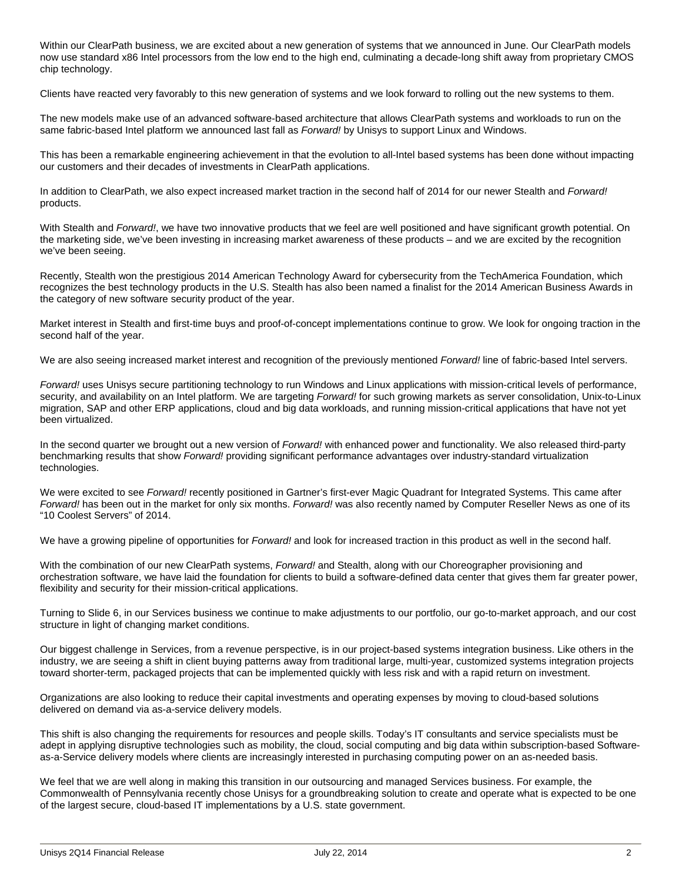Within our ClearPath business, we are excited about a new generation of systems that we announced in June. Our ClearPath models now use standard x86 Intel processors from the low end to the high end, culminating a decade-long shift away from proprietary CMOS chip technology.

Clients have reacted very favorably to this new generation of systems and we look forward to rolling out the new systems to them.

The new models make use of an advanced software-based architecture that allows ClearPath systems and workloads to run on the same fabric-based Intel platform we announced last fall as *Forward!* by Unisys to support Linux and Windows.

This has been a remarkable engineering achievement in that the evolution to all-Intel based systems has been done without impacting our customers and their decades of investments in ClearPath applications.

In addition to ClearPath, we also expect increased market traction in the second half of 2014 for our newer Stealth and *Forward!* products.

With Stealth and *Forward!*, we have two innovative products that we feel are well positioned and have significant growth potential. On the marketing side, we've been investing in increasing market awareness of these products – and we are excited by the recognition we've been seeing.

Recently, Stealth won the prestigious 2014 American Technology Award for cybersecurity from the TechAmerica Foundation, which recognizes the best technology products in the U.S. Stealth has also been named a finalist for the 2014 American Business Awards in the category of new software security product of the year.

Market interest in Stealth and first-time buys and proof-of-concept implementations continue to grow. We look for ongoing traction in the second half of the year.

We are also seeing increased market interest and recognition of the previously mentioned *Forward!* line of fabric-based Intel servers.

*Forward!* uses Unisys secure partitioning technology to run Windows and Linux applications with mission-critical levels of performance, security, and availability on an Intel platform. We are targeting *Forward!* for such growing markets as server consolidation, Unix-to-Linux migration, SAP and other ERP applications, cloud and big data workloads, and running mission-critical applications that have not yet been virtualized.

In the second quarter we brought out a new version of *Forward!* with enhanced power and functionality. We also released third-party benchmarking results that show *Forward!* providing significant performance advantages over industry-standard virtualization technologies.

We were excited to see *Forward!* recently positioned in Gartner's first-ever Magic Quadrant for Integrated Systems. This came after *Forward!* has been out in the market for only six months. *Forward!* was also recently named by Computer Reseller News as one of its "10 Coolest Servers" of 2014.

We have a growing pipeline of opportunities for *Forward!* and look for increased traction in this product as well in the second half.

With the combination of our new ClearPath systems, *Forward!* and Stealth, along with our Choreographer provisioning and orchestration software, we have laid the foundation for clients to build a software-defined data center that gives them far greater power, flexibility and security for their mission-critical applications.

Turning to Slide 6, in our Services business we continue to make adjustments to our portfolio, our go-to-market approach, and our cost structure in light of changing market conditions.

Our biggest challenge in Services, from a revenue perspective, is in our project-based systems integration business. Like others in the industry, we are seeing a shift in client buying patterns away from traditional large, multi-year, customized systems integration projects toward shorter-term, packaged projects that can be implemented quickly with less risk and with a rapid return on investment.

Organizations are also looking to reduce their capital investments and operating expenses by moving to cloud-based solutions delivered on demand via as-a-service delivery models.

This shift is also changing the requirements for resources and people skills. Today's IT consultants and service specialists must be adept in applying disruptive technologies such as mobility, the cloud, social computing and big data within subscription-based Softwareas-a-Service delivery models where clients are increasingly interested in purchasing computing power on an as-needed basis.

We feel that we are well along in making this transition in our outsourcing and managed Services business. For example, the Commonwealth of Pennsylvania recently chose Unisys for a groundbreaking solution to create and operate what is expected to be one of the largest secure, cloud-based IT implementations by a U.S. state government.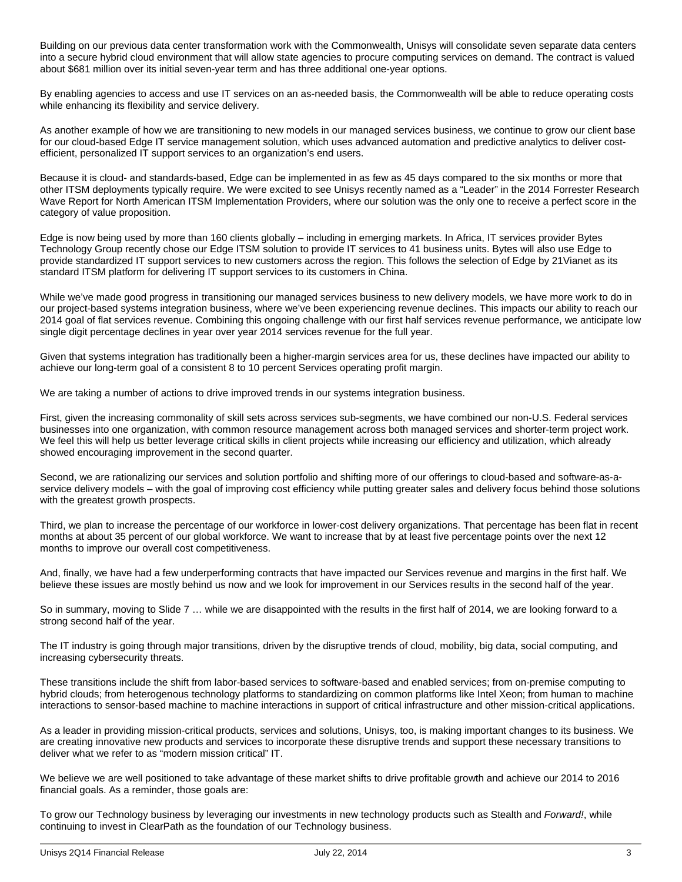Building on our previous data center transformation work with the Commonwealth, Unisys will consolidate seven separate data centers into a secure hybrid cloud environment that will allow state agencies to procure computing services on demand. The contract is valued about \$681 million over its initial seven-year term and has three additional one-year options.

By enabling agencies to access and use IT services on an as-needed basis, the Commonwealth will be able to reduce operating costs while enhancing its flexibility and service delivery.

As another example of how we are transitioning to new models in our managed services business, we continue to grow our client base for our cloud-based Edge IT service management solution, which uses advanced automation and predictive analytics to deliver costefficient, personalized IT support services to an organization's end users.

Because it is cloud- and standards-based, Edge can be implemented in as few as 45 days compared to the six months or more that other ITSM deployments typically require. We were excited to see Unisys recently named as a "Leader" in the 2014 Forrester Research Wave Report for North American ITSM Implementation Providers, where our solution was the only one to receive a perfect score in the category of value proposition.

Edge is now being used by more than 160 clients globally – including in emerging markets. In Africa, IT services provider Bytes Technology Group recently chose our Edge ITSM solution to provide IT services to 41 business units. Bytes will also use Edge to provide standardized IT support services to new customers across the region. This follows the selection of Edge by 21Vianet as its standard ITSM platform for delivering IT support services to its customers in China.

While we've made good progress in transitioning our managed services business to new delivery models, we have more work to do in our project-based systems integration business, where we've been experiencing revenue declines. This impacts our ability to reach our 2014 goal of flat services revenue. Combining this ongoing challenge with our first half services revenue performance, we anticipate low single digit percentage declines in year over year 2014 services revenue for the full year.

Given that systems integration has traditionally been a higher-margin services area for us, these declines have impacted our ability to achieve our long-term goal of a consistent 8 to 10 percent Services operating profit margin.

We are taking a number of actions to drive improved trends in our systems integration business.

First, given the increasing commonality of skill sets across services sub-segments, we have combined our non-U.S. Federal services businesses into one organization, with common resource management across both managed services and shorter-term project work. We feel this will help us better leverage critical skills in client projects while increasing our efficiency and utilization, which already showed encouraging improvement in the second quarter.

Second, we are rationalizing our services and solution portfolio and shifting more of our offerings to cloud-based and software-as-aservice delivery models – with the goal of improving cost efficiency while putting greater sales and delivery focus behind those solutions with the greatest growth prospects.

Third, we plan to increase the percentage of our workforce in lower-cost delivery organizations. That percentage has been flat in recent months at about 35 percent of our global workforce. We want to increase that by at least five percentage points over the next 12 months to improve our overall cost competitiveness.

And, finally, we have had a few underperforming contracts that have impacted our Services revenue and margins in the first half. We believe these issues are mostly behind us now and we look for improvement in our Services results in the second half of the year.

So in summary, moving to Slide 7 … while we are disappointed with the results in the first half of 2014, we are looking forward to a strong second half of the year.

The IT industry is going through major transitions, driven by the disruptive trends of cloud, mobility, big data, social computing, and increasing cybersecurity threats.

These transitions include the shift from labor-based services to software-based and enabled services; from on-premise computing to hybrid clouds; from heterogenous technology platforms to standardizing on common platforms like Intel Xeon; from human to machine interactions to sensor-based machine to machine interactions in support of critical infrastructure and other mission-critical applications.

As a leader in providing mission-critical products, services and solutions, Unisys, too, is making important changes to its business. We are creating innovative new products and services to incorporate these disruptive trends and support these necessary transitions to deliver what we refer to as "modern mission critical" IT.

We believe we are well positioned to take advantage of these market shifts to drive profitable growth and achieve our 2014 to 2016 financial goals. As a reminder, those goals are:

To grow our Technology business by leveraging our investments in new technology products such as Stealth and *Forward!*, while continuing to invest in ClearPath as the foundation of our Technology business.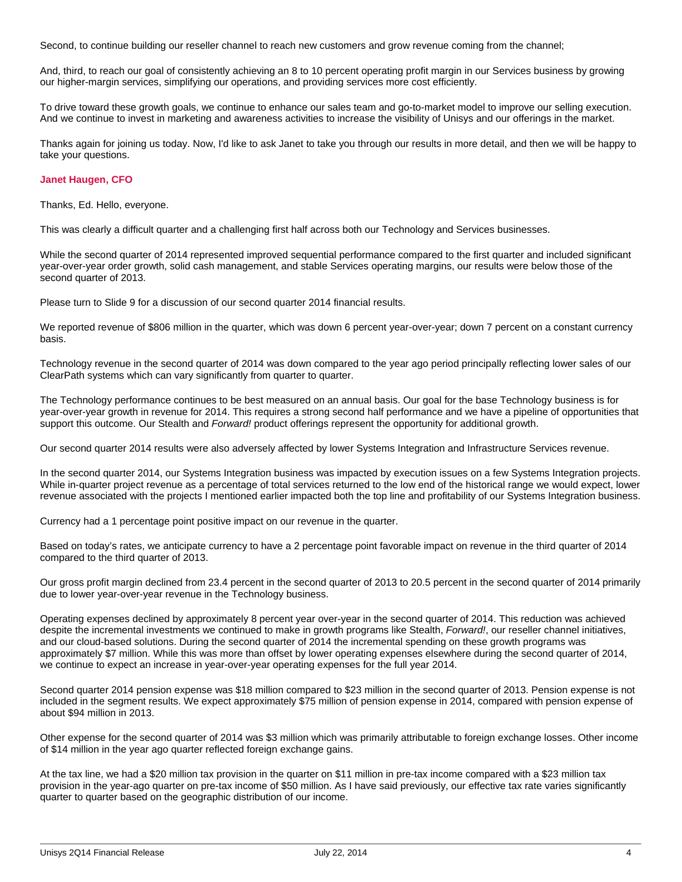Second, to continue building our reseller channel to reach new customers and grow revenue coming from the channel;

And, third, to reach our goal of consistently achieving an 8 to 10 percent operating profit margin in our Services business by growing our higher-margin services, simplifying our operations, and providing services more cost efficiently.

To drive toward these growth goals, we continue to enhance our sales team and go-to-market model to improve our selling execution. And we continue to invest in marketing and awareness activities to increase the visibility of Unisys and our offerings in the market.

Thanks again for joining us today. Now, I'd like to ask Janet to take you through our results in more detail, and then we will be happy to take your questions.

## **Janet Haugen, CFO**

Thanks, Ed. Hello, everyone.

This was clearly a difficult quarter and a challenging first half across both our Technology and Services businesses.

While the second quarter of 2014 represented improved sequential performance compared to the first quarter and included significant year-over-year order growth, solid cash management, and stable Services operating margins, our results were below those of the second quarter of 2013.

Please turn to Slide 9 for a discussion of our second quarter 2014 financial results.

We reported revenue of \$806 million in the quarter, which was down 6 percent year-over-year; down 7 percent on a constant currency basis.

Technology revenue in the second quarter of 2014 was down compared to the year ago period principally reflecting lower sales of our ClearPath systems which can vary significantly from quarter to quarter.

The Technology performance continues to be best measured on an annual basis. Our goal for the base Technology business is for year-over-year growth in revenue for 2014. This requires a strong second half performance and we have a pipeline of opportunities that support this outcome. Our Stealth and *Forward!* product offerings represent the opportunity for additional growth.

Our second quarter 2014 results were also adversely affected by lower Systems Integration and Infrastructure Services revenue.

In the second quarter 2014, our Systems Integration business was impacted by execution issues on a few Systems Integration projects. While in-quarter project revenue as a percentage of total services returned to the low end of the historical range we would expect, lower revenue associated with the projects I mentioned earlier impacted both the top line and profitability of our Systems Integration business.

Currency had a 1 percentage point positive impact on our revenue in the quarter.

Based on today's rates, we anticipate currency to have a 2 percentage point favorable impact on revenue in the third quarter of 2014 compared to the third quarter of 2013.

Our gross profit margin declined from 23.4 percent in the second quarter of 2013 to 20.5 percent in the second quarter of 2014 primarily due to lower year-over-year revenue in the Technology business.

Operating expenses declined by approximately 8 percent year over-year in the second quarter of 2014. This reduction was achieved despite the incremental investments we continued to make in growth programs like Stealth, *Forward!*, our reseller channel initiatives, and our cloud-based solutions. During the second quarter of 2014 the incremental spending on these growth programs was approximately \$7 million. While this was more than offset by lower operating expenses elsewhere during the second quarter of 2014, we continue to expect an increase in year-over-year operating expenses for the full year 2014.

Second quarter 2014 pension expense was \$18 million compared to \$23 million in the second quarter of 2013. Pension expense is not included in the segment results. We expect approximately \$75 million of pension expense in 2014, compared with pension expense of about \$94 million in 2013.

Other expense for the second quarter of 2014 was \$3 million which was primarily attributable to foreign exchange losses. Other income of \$14 million in the year ago quarter reflected foreign exchange gains.

At the tax line, we had a \$20 million tax provision in the quarter on \$11 million in pre-tax income compared with a \$23 million tax provision in the year-ago quarter on pre-tax income of \$50 million. As I have said previously, our effective tax rate varies significantly quarter to quarter based on the geographic distribution of our income.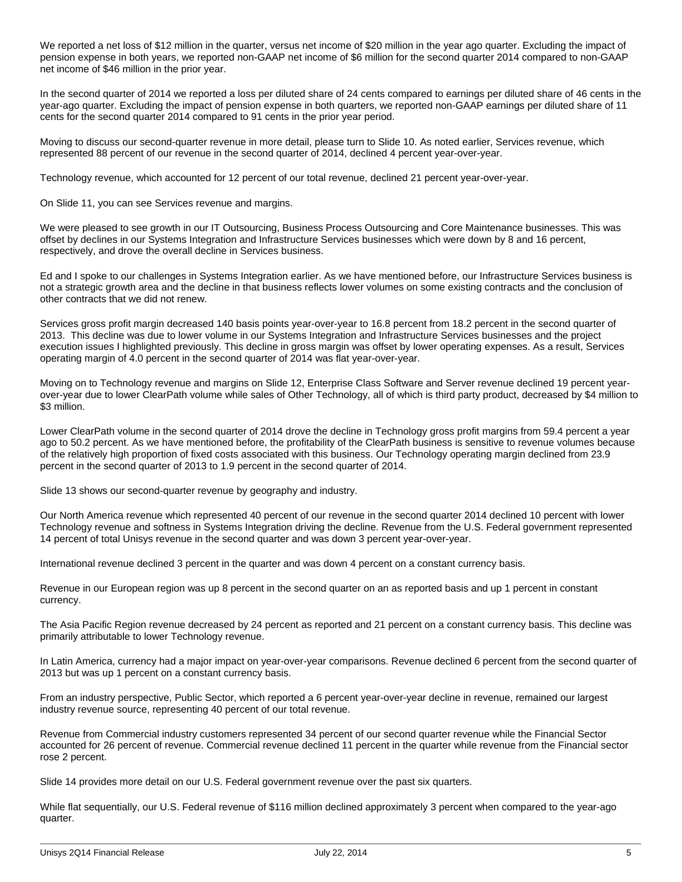We reported a net loss of \$12 million in the quarter, versus net income of \$20 million in the year ago quarter. Excluding the impact of pension expense in both years, we reported non-GAAP net income of \$6 million for the second quarter 2014 compared to non-GAAP net income of \$46 million in the prior year.

In the second quarter of 2014 we reported a loss per diluted share of 24 cents compared to earnings per diluted share of 46 cents in the year-ago quarter. Excluding the impact of pension expense in both quarters, we reported non-GAAP earnings per diluted share of 11 cents for the second quarter 2014 compared to 91 cents in the prior year period.

Moving to discuss our second-quarter revenue in more detail, please turn to Slide 10. As noted earlier, Services revenue, which represented 88 percent of our revenue in the second quarter of 2014, declined 4 percent year-over-year.

Technology revenue, which accounted for 12 percent of our total revenue, declined 21 percent year-over-year.

On Slide 11, you can see Services revenue and margins.

We were pleased to see growth in our IT Outsourcing, Business Process Outsourcing and Core Maintenance businesses. This was offset by declines in our Systems Integration and Infrastructure Services businesses which were down by 8 and 16 percent, respectively, and drove the overall decline in Services business.

Ed and I spoke to our challenges in Systems Integration earlier. As we have mentioned before, our Infrastructure Services business is not a strategic growth area and the decline in that business reflects lower volumes on some existing contracts and the conclusion of other contracts that we did not renew.

Services gross profit margin decreased 140 basis points year-over-year to 16.8 percent from 18.2 percent in the second quarter of 2013. This decline was due to lower volume in our Systems Integration and Infrastructure Services businesses and the project execution issues I highlighted previously. This decline in gross margin was offset by lower operating expenses. As a result, Services operating margin of 4.0 percent in the second quarter of 2014 was flat year-over-year.

Moving on to Technology revenue and margins on Slide 12, Enterprise Class Software and Server revenue declined 19 percent yearover-year due to lower ClearPath volume while sales of Other Technology, all of which is third party product, decreased by \$4 million to \$3 million.

Lower ClearPath volume in the second quarter of 2014 drove the decline in Technology gross profit margins from 59.4 percent a year ago to 50.2 percent. As we have mentioned before, the profitability of the ClearPath business is sensitive to revenue volumes because of the relatively high proportion of fixed costs associated with this business. Our Technology operating margin declined from 23.9 percent in the second quarter of 2013 to 1.9 percent in the second quarter of 2014.

Slide 13 shows our second-quarter revenue by geography and industry.

Our North America revenue which represented 40 percent of our revenue in the second quarter 2014 declined 10 percent with lower Technology revenue and softness in Systems Integration driving the decline. Revenue from the U.S. Federal government represented 14 percent of total Unisys revenue in the second quarter and was down 3 percent year-over-year.

International revenue declined 3 percent in the quarter and was down 4 percent on a constant currency basis.

Revenue in our European region was up 8 percent in the second quarter on an as reported basis and up 1 percent in constant currency.

The Asia Pacific Region revenue decreased by 24 percent as reported and 21 percent on a constant currency basis. This decline was primarily attributable to lower Technology revenue.

In Latin America, currency had a major impact on year-over-year comparisons. Revenue declined 6 percent from the second quarter of 2013 but was up 1 percent on a constant currency basis.

From an industry perspective, Public Sector, which reported a 6 percent year-over-year decline in revenue, remained our largest industry revenue source, representing 40 percent of our total revenue.

Revenue from Commercial industry customers represented 34 percent of our second quarter revenue while the Financial Sector accounted for 26 percent of revenue. Commercial revenue declined 11 percent in the quarter while revenue from the Financial sector rose 2 percent.

Slide 14 provides more detail on our U.S. Federal government revenue over the past six quarters.

While flat sequentially, our U.S. Federal revenue of \$116 million declined approximately 3 percent when compared to the year-ago quarter.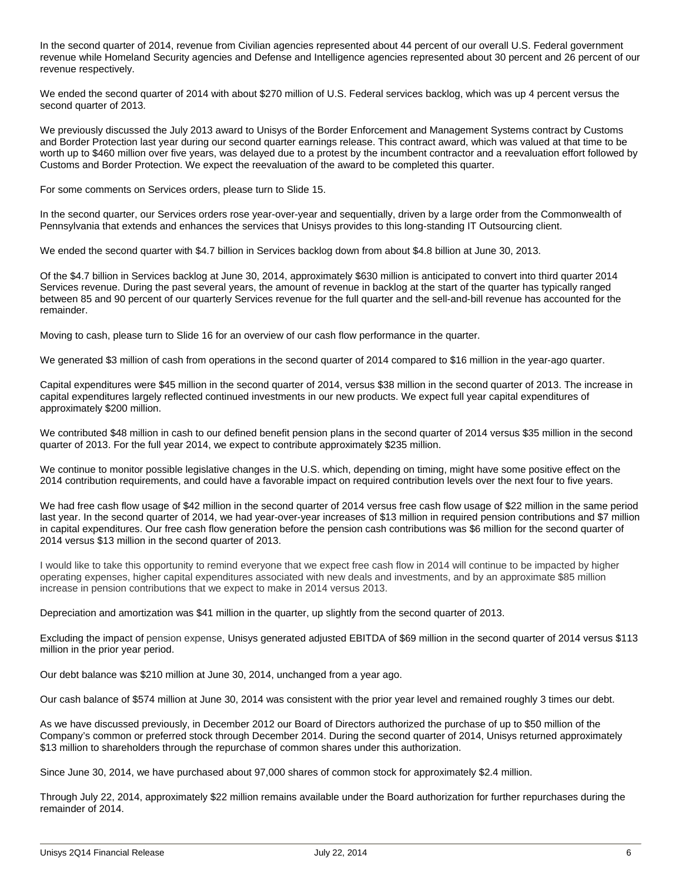In the second quarter of 2014, revenue from Civilian agencies represented about 44 percent of our overall U.S. Federal government revenue while Homeland Security agencies and Defense and Intelligence agencies represented about 30 percent and 26 percent of our revenue respectively.

We ended the second quarter of 2014 with about \$270 million of U.S. Federal services backlog, which was up 4 percent versus the second quarter of 2013.

We previously discussed the July 2013 award to Unisys of the Border Enforcement and Management Systems contract by Customs and Border Protection last year during our second quarter earnings release. This contract award, which was valued at that time to be worth up to \$460 million over five years, was delayed due to a protest by the incumbent contractor and a reevaluation effort followed by Customs and Border Protection. We expect the reevaluation of the award to be completed this quarter.

For some comments on Services orders, please turn to Slide 15.

In the second quarter, our Services orders rose year-over-year and sequentially, driven by a large order from the Commonwealth of Pennsylvania that extends and enhances the services that Unisys provides to this long-standing IT Outsourcing client.

We ended the second quarter with \$4.7 billion in Services backlog down from about \$4.8 billion at June 30, 2013.

Of the \$4.7 billion in Services backlog at June 30, 2014, approximately \$630 million is anticipated to convert into third quarter 2014 Services revenue. During the past several years, the amount of revenue in backlog at the start of the quarter has typically ranged between 85 and 90 percent of our quarterly Services revenue for the full quarter and the sell-and-bill revenue has accounted for the remainder.

Moving to cash, please turn to Slide 16 for an overview of our cash flow performance in the quarter.

We generated \$3 million of cash from operations in the second quarter of 2014 compared to \$16 million in the year-ago quarter.

Capital expenditures were \$45 million in the second quarter of 2014, versus \$38 million in the second quarter of 2013. The increase in capital expenditures largely reflected continued investments in our new products. We expect full year capital expenditures of approximately \$200 million.

We contributed \$48 million in cash to our defined benefit pension plans in the second quarter of 2014 versus \$35 million in the second quarter of 2013. For the full year 2014, we expect to contribute approximately \$235 million.

We continue to monitor possible legislative changes in the U.S. which, depending on timing, might have some positive effect on the 2014 contribution requirements, and could have a favorable impact on required contribution levels over the next four to five years.

We had free cash flow usage of \$42 million in the second quarter of 2014 versus free cash flow usage of \$22 million in the same period last year. In the second quarter of 2014, we had year-over-year increases of \$13 million in required pension contributions and \$7 million in capital expenditures. Our free cash flow generation before the pension cash contributions was \$6 million for the second quarter of 2014 versus \$13 million in the second quarter of 2013.

I would like to take this opportunity to remind everyone that we expect free cash flow in 2014 will continue to be impacted by higher operating expenses, higher capital expenditures associated with new deals and investments, and by an approximate \$85 million increase in pension contributions that we expect to make in 2014 versus 2013.

Depreciation and amortization was \$41 million in the quarter, up slightly from the second quarter of 2013.

Excluding the impact of pension expense, Unisys generated adjusted EBITDA of \$69 million in the second quarter of 2014 versus \$113 million in the prior year period.

Our debt balance was \$210 million at June 30, 2014, unchanged from a year ago.

Our cash balance of \$574 million at June 30, 2014 was consistent with the prior year level and remained roughly 3 times our debt.

As we have discussed previously, in December 2012 our Board of Directors authorized the purchase of up to \$50 million of the Company's common or preferred stock through December 2014. During the second quarter of 2014, Unisys returned approximately \$13 million to shareholders through the repurchase of common shares under this authorization.

Since June 30, 2014, we have purchased about 97,000 shares of common stock for approximately \$2.4 million.

Through July 22, 2014, approximately \$22 million remains available under the Board authorization for further repurchases during the remainder of 2014.